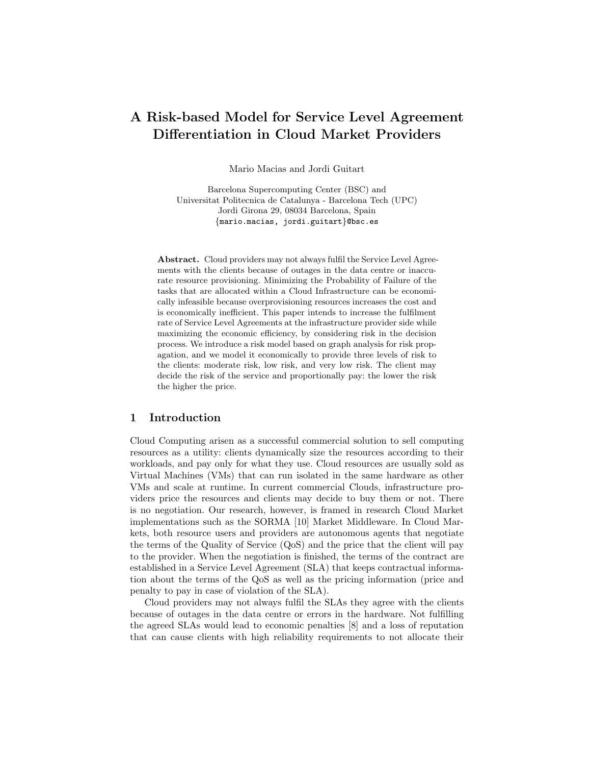# A Risk-based Model for Service Level Agreement Differentiation in Cloud Market Providers

Mario Macias and Jordi Guitart

Barcelona Supercomputing Center (BSC) and Universitat Politecnica de Catalunya - Barcelona Tech (UPC) Jordi Girona 29, 08034 Barcelona, Spain {mario.macias, jordi.guitart}@bsc.es

Abstract. Cloud providers may not always fulfil the Service Level Agreements with the clients because of outages in the data centre or inaccurate resource provisioning. Minimizing the Probability of Failure of the tasks that are allocated within a Cloud Infrastructure can be economically infeasible because overprovisioning resources increases the cost and is economically inefficient. This paper intends to increase the fulfilment rate of Service Level Agreements at the infrastructure provider side while maximizing the economic efficiency, by considering risk in the decision process. We introduce a risk model based on graph analysis for risk propagation, and we model it economically to provide three levels of risk to the clients: moderate risk, low risk, and very low risk. The client may decide the risk of the service and proportionally pay: the lower the risk the higher the price.

#### 1 Introduction

Cloud Computing arisen as a successful commercial solution to sell computing resources as a utility: clients dynamically size the resources according to their workloads, and pay only for what they use. Cloud resources are usually sold as Virtual Machines (VMs) that can run isolated in the same hardware as other VMs and scale at runtime. In current commercial Clouds, infrastructure providers price the resources and clients may decide to buy them or not. There is no negotiation. Our research, however, is framed in research Cloud Market implementations such as the SORMA [10] Market Middleware. In Cloud Markets, both resource users and providers are autonomous agents that negotiate the terms of the Quality of Service (QoS) and the price that the client will pay to the provider. When the negotiation is finished, the terms of the contract are established in a Service Level Agreement (SLA) that keeps contractual information about the terms of the QoS as well as the pricing information (price and penalty to pay in case of violation of the SLA).

Cloud providers may not always fulfil the SLAs they agree with the clients because of outages in the data centre or errors in the hardware. Not fulfilling the agreed SLAs would lead to economic penalties [8] and a loss of reputation that can cause clients with high reliability requirements to not allocate their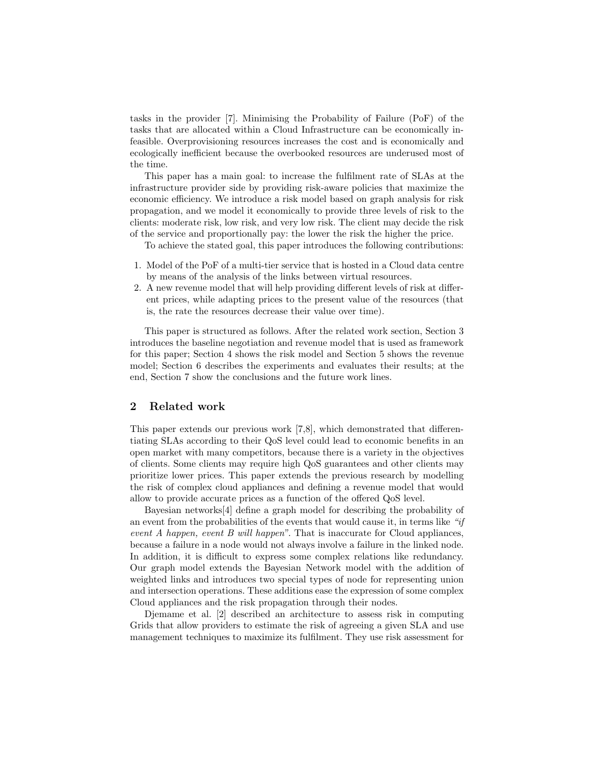tasks in the provider [7]. Minimising the Probability of Failure (PoF) of the tasks that are allocated within a Cloud Infrastructure can be economically infeasible. Overprovisioning resources increases the cost and is economically and ecologically inefficient because the overbooked resources are underused most of the time.

This paper has a main goal: to increase the fulfilment rate of SLAs at the infrastructure provider side by providing risk-aware policies that maximize the economic efficiency. We introduce a risk model based on graph analysis for risk propagation, and we model it economically to provide three levels of risk to the clients: moderate risk, low risk, and very low risk. The client may decide the risk of the service and proportionally pay: the lower the risk the higher the price.

To achieve the stated goal, this paper introduces the following contributions:

- 1. Model of the PoF of a multi-tier service that is hosted in a Cloud data centre by means of the analysis of the links between virtual resources.
- 2. A new revenue model that will help providing different levels of risk at different prices, while adapting prices to the present value of the resources (that is, the rate the resources decrease their value over time).

This paper is structured as follows. After the related work section, Section 3 introduces the baseline negotiation and revenue model that is used as framework for this paper; Section 4 shows the risk model and Section 5 shows the revenue model; Section 6 describes the experiments and evaluates their results; at the end, Section 7 show the conclusions and the future work lines.

# 2 Related work

This paper extends our previous work [7,8], which demonstrated that differentiating SLAs according to their QoS level could lead to economic benefits in an open market with many competitors, because there is a variety in the objectives of clients. Some clients may require high QoS guarantees and other clients may prioritize lower prices. This paper extends the previous research by modelling the risk of complex cloud appliances and defining a revenue model that would allow to provide accurate prices as a function of the offered QoS level.

Bayesian networks[4] define a graph model for describing the probability of an event from the probabilities of the events that would cause it, in terms like "if event A happen, event B will happen". That is inaccurate for Cloud appliances, because a failure in a node would not always involve a failure in the linked node. In addition, it is difficult to express some complex relations like redundancy. Our graph model extends the Bayesian Network model with the addition of weighted links and introduces two special types of node for representing union and intersection operations. These additions ease the expression of some complex Cloud appliances and the risk propagation through their nodes.

Djemame et al. [2] described an architecture to assess risk in computing Grids that allow providers to estimate the risk of agreeing a given SLA and use management techniques to maximize its fulfilment. They use risk assessment for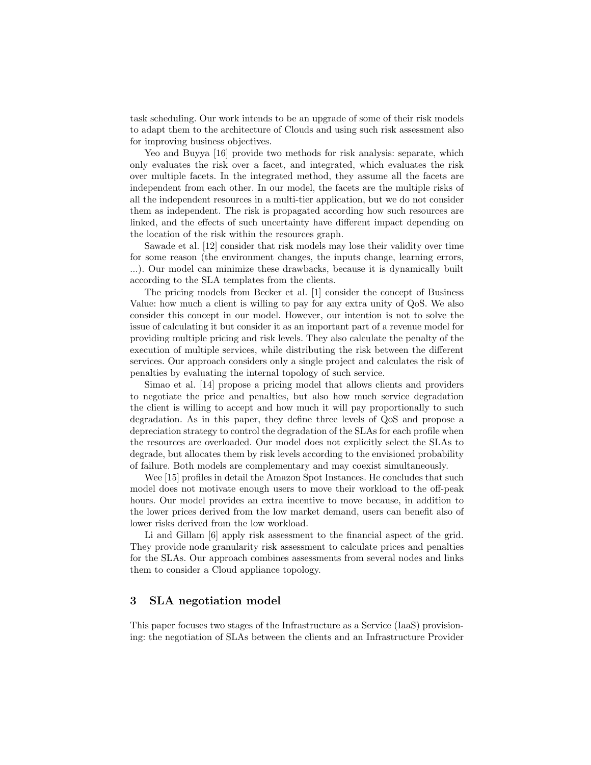task scheduling. Our work intends to be an upgrade of some of their risk models to adapt them to the architecture of Clouds and using such risk assessment also for improving business objectives.

Yeo and Buyya [16] provide two methods for risk analysis: separate, which only evaluates the risk over a facet, and integrated, which evaluates the risk over multiple facets. In the integrated method, they assume all the facets are independent from each other. In our model, the facets are the multiple risks of all the independent resources in a multi-tier application, but we do not consider them as independent. The risk is propagated according how such resources are linked, and the effects of such uncertainty have different impact depending on the location of the risk within the resources graph.

Sawade et al. [12] consider that risk models may lose their validity over time for some reason (the environment changes, the inputs change, learning errors, ...). Our model can minimize these drawbacks, because it is dynamically built according to the SLA templates from the clients.

The pricing models from Becker et al. [1] consider the concept of Business Value: how much a client is willing to pay for any extra unity of QoS. We also consider this concept in our model. However, our intention is not to solve the issue of calculating it but consider it as an important part of a revenue model for providing multiple pricing and risk levels. They also calculate the penalty of the execution of multiple services, while distributing the risk between the different services. Our approach considers only a single project and calculates the risk of penalties by evaluating the internal topology of such service.

Simao et al. [14] propose a pricing model that allows clients and providers to negotiate the price and penalties, but also how much service degradation the client is willing to accept and how much it will pay proportionally to such degradation. As in this paper, they define three levels of QoS and propose a depreciation strategy to control the degradation of the SLAs for each profile when the resources are overloaded. Our model does not explicitly select the SLAs to degrade, but allocates them by risk levels according to the envisioned probability of failure. Both models are complementary and may coexist simultaneously.

Wee [15] profiles in detail the Amazon Spot Instances. He concludes that such model does not motivate enough users to move their workload to the off-peak hours. Our model provides an extra incentive to move because, in addition to the lower prices derived from the low market demand, users can benefit also of lower risks derived from the low workload.

Li and Gillam [6] apply risk assessment to the financial aspect of the grid. They provide node granularity risk assessment to calculate prices and penalties for the SLAs. Our approach combines assessments from several nodes and links them to consider a Cloud appliance topology.

### 3 SLA negotiation model

This paper focuses two stages of the Infrastructure as a Service (IaaS) provisioning: the negotiation of SLAs between the clients and an Infrastructure Provider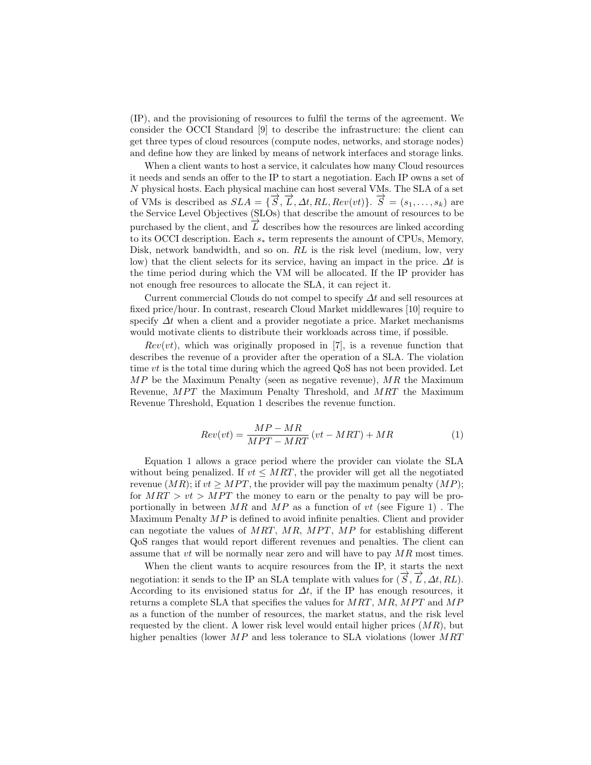(IP), and the provisioning of resources to fulfil the terms of the agreement. We consider the OCCI Standard [9] to describe the infrastructure: the client can get three types of cloud resources (compute nodes, networks, and storage nodes) and define how they are linked by means of network interfaces and storage links.

When a client wants to host a service, it calculates how many Cloud resources it needs and sends an offer to the IP to start a negotiation. Each IP owns a set of N physical hosts. Each physical machine can host several VMs. The SLA of a set of VMs is described as  $SLA = \{\overrightarrow{S}, \overrightarrow{L}, \Delta t, RL, Rev(vt)\}\$ .  $\overrightarrow{S} = (s_1, \ldots, s_k)$  are the Service Level Objectives (SLOs) that describe the amount of resources to be purchased by the client, and  $\overline{L}$  describes how the resources are linked according to its OCCI description. Each  $s_*$  term represents the amount of CPUs, Memory, Disk, network bandwidth, and so on. RL is the risk level (medium, low, very low) that the client selects for its service, having an impact in the price.  $\Delta t$  is the time period during which the VM will be allocated. If the IP provider has not enough free resources to allocate the SLA, it can reject it.

Current commercial Clouds do not compel to specify  $\Delta t$  and sell resources at fixed price/hour. In contrast, research Cloud Market middlewares [10] require to specify  $\Delta t$  when a client and a provider negotiate a price. Market mechanisms would motivate clients to distribute their workloads across time, if possible.

 $Rev(vt)$ , which was originally proposed in [7], is a revenue function that describes the revenue of a provider after the operation of a SLA. The violation time *vt* is the total time during which the agreed QoS has not been provided. Let  $MP$  be the Maximum Penalty (seen as negative revenue),  $MR$  the Maximum Revenue,  $MPT$  the Maximum Penalty Threshold, and  $MRT$  the Maximum Revenue Threshold, Equation 1 describes the revenue function.

$$
Rev(vt) = \frac{MP - MR}{MPT - MRT} (vt - MRT) + MR \tag{1}
$$

Equation 1 allows a grace period where the provider can violate the SLA without being penalized. If  $vt \leq MRT$ , the provider will get all the negotiated revenue  $(MR)$ ; if  $vt > MPT$ , the provider will pay the maximum penalty  $(MP)$ ; for  $MRT > vt > MPT$  the money to earn or the penalty to pay will be proportionally in between  $MR$  and  $MP$  as a function of vt (see Figure 1). The Maximum Penalty MP is defined to avoid infinite penalties. Client and provider can negotiate the values of  $MRT$ ,  $MR$ ,  $MPT$ ,  $MP$  for establishing different QoS ranges that would report different revenues and penalties. The client can assume that  $vt$  will be normally near zero and will have to pay  $MR$  most times.

When the client wants to acquire resources from the IP, it starts the next negotiation: it sends to the IP an SLA template with values for  $(\overrightarrow{S}, \overrightarrow{L}, \Delta t, RL)$ . According to its envisioned status for  $\Delta t$ , if the IP has enough resources, it returns a complete SLA that specifies the values for  $MRT$ ,  $MR$ ,  $MPT$  and  $MP$ as a function of the number of resources, the market status, and the risk level requested by the client. A lower risk level would entail higher prices  $(MR)$ , but higher penalties (lower MP and less tolerance to SLA violations (lower MRT)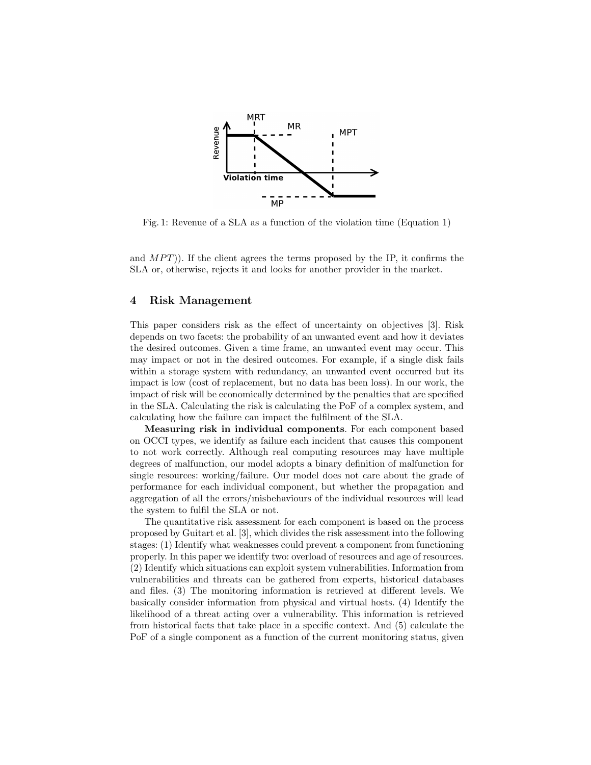

Fig. 1: Revenue of a SLA as a function of the violation time (Equation 1)

and  $MPT)$ ). If the client agrees the terms proposed by the IP, it confirms the SLA or, otherwise, rejects it and looks for another provider in the market.

#### 4 Risk Management

This paper considers risk as the effect of uncertainty on objectives [3]. Risk depends on two facets: the probability of an unwanted event and how it deviates the desired outcomes. Given a time frame, an unwanted event may occur. This may impact or not in the desired outcomes. For example, if a single disk fails within a storage system with redundancy, an unwanted event occurred but its impact is low (cost of replacement, but no data has been loss). In our work, the impact of risk will be economically determined by the penalties that are specified in the SLA. Calculating the risk is calculating the PoF of a complex system, and calculating how the failure can impact the fulfilment of the SLA.

Measuring risk in individual components. For each component based on OCCI types, we identify as failure each incident that causes this component to not work correctly. Although real computing resources may have multiple degrees of malfunction, our model adopts a binary definition of malfunction for single resources: working/failure. Our model does not care about the grade of performance for each individual component, but whether the propagation and aggregation of all the errors/misbehaviours of the individual resources will lead the system to fulfil the SLA or not.

The quantitative risk assessment for each component is based on the process proposed by Guitart et al. [3], which divides the risk assessment into the following stages: (1) Identify what weaknesses could prevent a component from functioning properly. In this paper we identify two: overload of resources and age of resources. (2) Identify which situations can exploit system vulnerabilities. Information from vulnerabilities and threats can be gathered from experts, historical databases and files. (3) The monitoring information is retrieved at different levels. We basically consider information from physical and virtual hosts. (4) Identify the likelihood of a threat acting over a vulnerability. This information is retrieved from historical facts that take place in a specific context. And (5) calculate the PoF of a single component as a function of the current monitoring status, given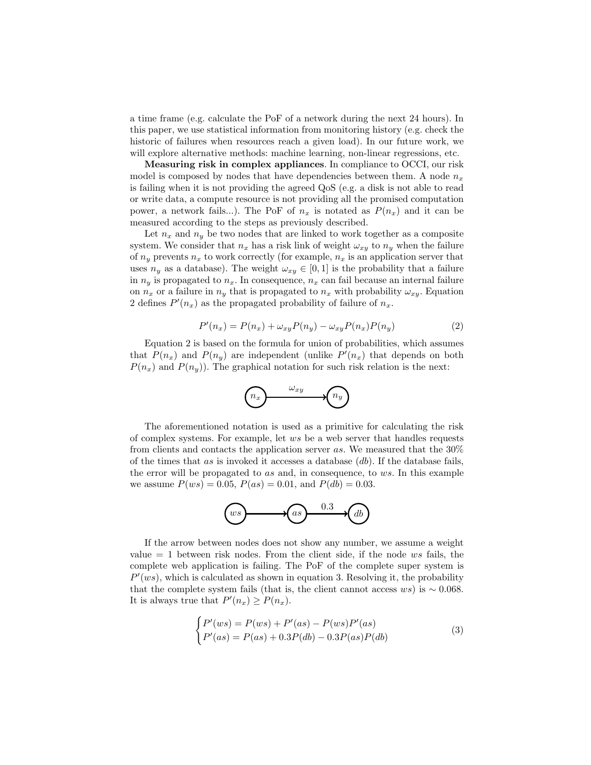a time frame (e.g. calculate the PoF of a network during the next 24 hours). In this paper, we use statistical information from monitoring history (e.g. check the historic of failures when resources reach a given load). In our future work, we will explore alternative methods: machine learning, non-linear regressions, etc.

Measuring risk in complex appliances. In compliance to OCCI, our risk model is composed by nodes that have dependencies between them. A node  $n_x$ is failing when it is not providing the agreed QoS (e.g. a disk is not able to read or write data, a compute resource is not providing all the promised computation power, a network fails...). The PoF of  $n_x$  is notated as  $P(n_x)$  and it can be measured according to the steps as previously described.

Let  $n_x$  and  $n_y$  be two nodes that are linked to work together as a composite system. We consider that  $n_x$  has a risk link of weight  $\omega_{xy}$  to  $n_y$  when the failure of  $n_y$  prevents  $n_x$  to work correctly (for example,  $n_x$  is an application server that uses  $n_y$  as a database). The weight  $\omega_{xy} \in [0,1]$  is the probability that a failure in  $n_y$  is propagated to  $n_x$ . In consequence,  $n_x$  can fail because an internal failure on  $n_x$  or a failure in  $n_y$  that is propagated to  $n_x$  with probability  $\omega_{xy}$ . Equation 2 defines  $P'(n_x)$  as the propagated probability of failure of  $n_x$ .

$$
P'(n_x) = P(n_x) + \omega_{xy} P(n_y) - \omega_{xy} P(n_x) P(n_y)
$$
\n(2)

Equation 2 is based on the formula for union of probabilities, which assumes that  $P(n_x)$  and  $P(n_y)$  are independent (unlike  $P'(n_x)$ ) that depends on both  $P(n_x)$  and  $P(n_y)$ ). The graphical notation for such risk relation is the next:



The aforementioned notation is used as a primitive for calculating the risk of complex systems. For example, let ws be a web server that handles requests from clients and contacts the application server as. We measured that the 30% of the times that  $as$  is invoked it accesses a database  $(db)$ . If the database fails, the error will be propagated to as and, in consequence, to ws. In this example we assume  $P(ws) = 0.05, P(as) = 0.01, \text{ and } P(db) = 0.03.$ 



If the arrow between nodes does not show any number, we assume a weight value  $= 1$  between risk nodes. From the client side, if the node ws fails, the complete web application is failing. The PoF of the complete super system is  $P'(ws)$ , which is calculated as shown in equation 3. Resolving it, the probability that the complete system fails (that is, the client cannot access ws) is  $\sim 0.068$ . It is always true that  $P'(n_x) \ge P(n_x)$ .

$$
\begin{cases}\nP'(ws) = P(ws) + P'(as) - P(ws)P'(as) \\
P'(as) = P(as) + 0.3P(db) - 0.3P(as)P(db)\n\end{cases}
$$
\n(3)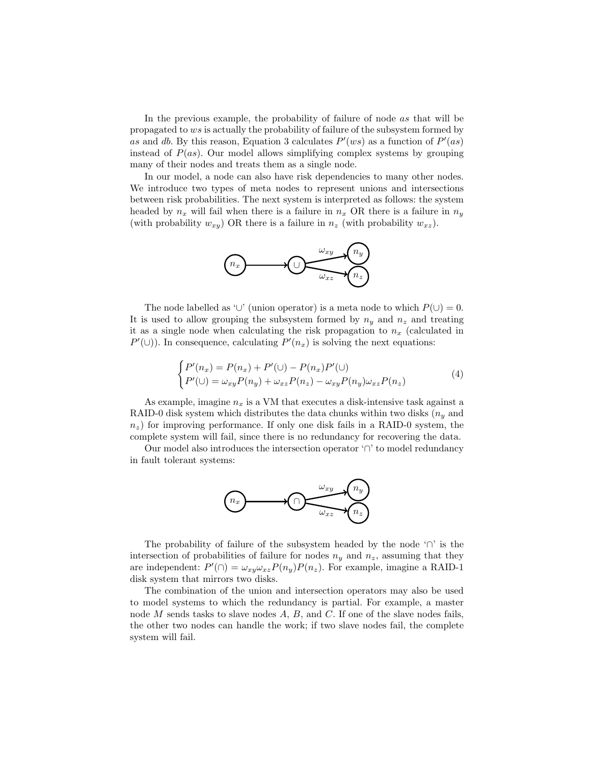In the previous example, the probability of failure of node as that will be propagated to ws is actually the probability of failure of the subsystem formed by as and db. By this reason, Equation 3 calculates  $P'(ws)$  as a function of  $P'(as)$ instead of  $P(as)$ . Our model allows simplifying complex systems by grouping many of their nodes and treats them as a single node.

In our model, a node can also have risk dependencies to many other nodes. We introduce two types of meta nodes to represent unions and intersections between risk probabilities. The next system is interpreted as follows: the system headed by  $n_x$  will fail when there is a failure in  $n_x$  OR there is a failure in  $n_y$ (with probability  $w_{xy}$ ) OR there is a failure in  $n_z$  (with probability  $w_{xz}$ ).



The node labelled as '∪' (union operator) is a meta node to which  $P(\cup) = 0$ . It is used to allow grouping the subsystem formed by  $n_y$  and  $n_z$  and treating it as a single node when calculating the risk propagation to  $n_x$  (calculated in  $P'(\cup)$ ). In consequence, calculating  $P'(n_x)$  is solving the next equations:

$$
\begin{cases}\nP'(n_x) = P(n_x) + P'(\cup) - P(n_x)P'(\cup) \\
P'(\cup) = \omega_{xy}P(n_y) + \omega_{xz}P(n_z) - \omega_{xy}P(n_y)\omega_{xz}P(n_z)\n\end{cases} \tag{4}
$$

As example, imagine  $n_x$  is a VM that executes a disk-intensive task against a RAID-0 disk system which distributes the data chunks within two disks  $(n<sub>y</sub>$  and  $n_z$ ) for improving performance. If only one disk fails in a RAID-0 system, the complete system will fail, since there is no redundancy for recovering the data.

Our model also introduces the intersection operator '∩' to model redundancy in fault tolerant systems:



The probability of failure of the subsystem headed by the node ' $\cap$ ' is the intersection of probabilities of failure for nodes  $n_y$  and  $n_z$ , assuming that they are independent:  $P'(\cap) = \omega_{xy} \omega_{xz} P(n_y) P(n_z)$ . For example, imagine a RAID-1 disk system that mirrors two disks.

The combination of the union and intersection operators may also be used to model systems to which the redundancy is partial. For example, a master node M sends tasks to slave nodes  $A, B$ , and  $C$ . If one of the slave nodes fails, the other two nodes can handle the work; if two slave nodes fail, the complete system will fail.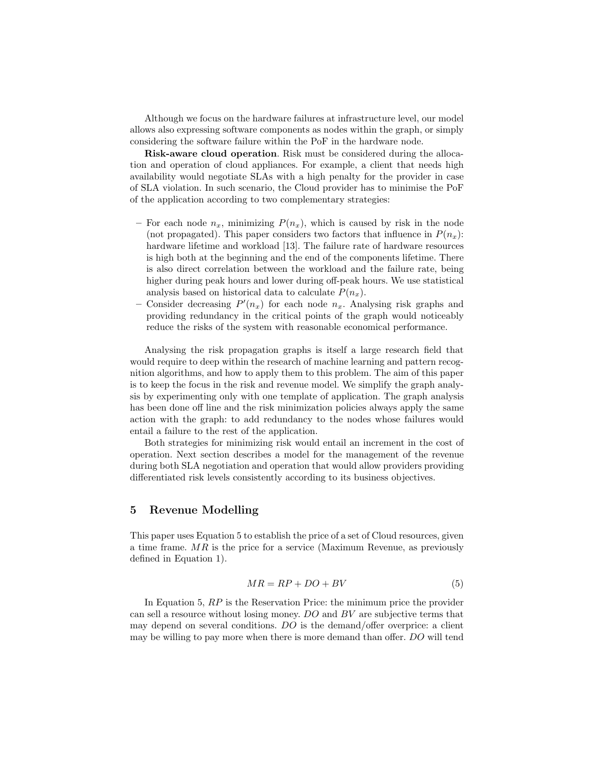Although we focus on the hardware failures at infrastructure level, our model allows also expressing software components as nodes within the graph, or simply considering the software failure within the PoF in the hardware node.

Risk-aware cloud operation. Risk must be considered during the allocation and operation of cloud appliances. For example, a client that needs high availability would negotiate SLAs with a high penalty for the provider in case of SLA violation. In such scenario, the Cloud provider has to minimise the PoF of the application according to two complementary strategies:

- For each node  $n_x$ , minimizing  $P(n_x)$ , which is caused by risk in the node (not propagated). This paper considers two factors that influence in  $P(n_x)$ : hardware lifetime and workload [13]. The failure rate of hardware resources is high both at the beginning and the end of the components lifetime. There is also direct correlation between the workload and the failure rate, being higher during peak hours and lower during off-peak hours. We use statistical analysis based on historical data to calculate  $P(n_x)$ .
- Consider decreasing  $P'(n_x)$  for each node  $n_x$ . Analysing risk graphs and providing redundancy in the critical points of the graph would noticeably reduce the risks of the system with reasonable economical performance.

Analysing the risk propagation graphs is itself a large research field that would require to deep within the research of machine learning and pattern recognition algorithms, and how to apply them to this problem. The aim of this paper is to keep the focus in the risk and revenue model. We simplify the graph analysis by experimenting only with one template of application. The graph analysis has been done off line and the risk minimization policies always apply the same action with the graph: to add redundancy to the nodes whose failures would entail a failure to the rest of the application.

Both strategies for minimizing risk would entail an increment in the cost of operation. Next section describes a model for the management of the revenue during both SLA negotiation and operation that would allow providers providing differentiated risk levels consistently according to its business objectives.

## 5 Revenue Modelling

This paper uses Equation 5 to establish the price of a set of Cloud resources, given a time frame. MR is the price for a service (Maximum Revenue, as previously defined in Equation 1).

$$
MR = RP + DO + BV \tag{5}
$$

In Equation 5, RP is the Reservation Price: the minimum price the provider can sell a resource without losing money. DO and BV are subjective terms that may depend on several conditions. DO is the demand/offer overprice: a client may be willing to pay more when there is more demand than offer. DO will tend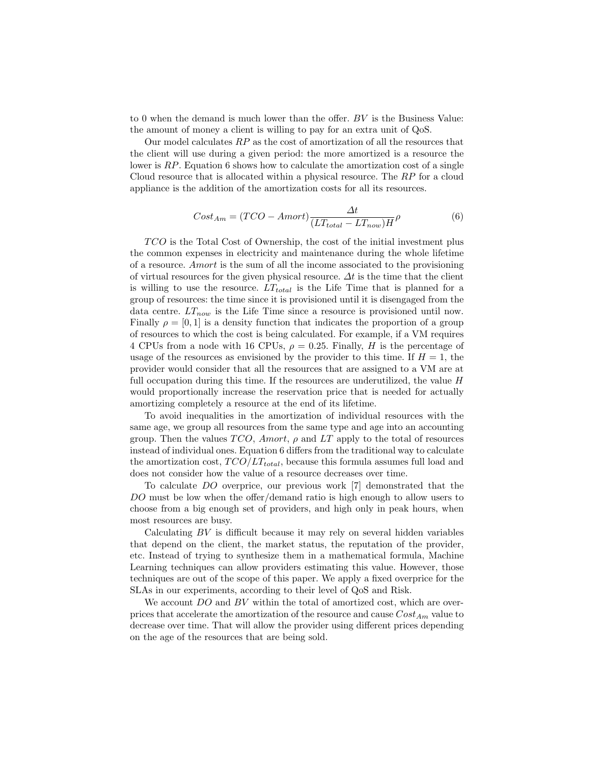to 0 when the demand is much lower than the offer. BV is the Business Value: the amount of money a client is willing to pay for an extra unit of QoS.

Our model calculates  $RP$  as the cost of amortization of all the resources that the client will use during a given period: the more amortized is a resource the lower is RP. Equation 6 shows how to calculate the amortization cost of a single Cloud resource that is allocated within a physical resource. The RP for a cloud appliance is the addition of the amortization costs for all its resources.

$$
Cost_{Am} = (TCO - Amort) \frac{\Delta t}{(LT_{total} - LT_{now})H} \rho
$$
\n(6)

TCO is the Total Cost of Ownership, the cost of the initial investment plus the common expenses in electricity and maintenance during the whole lifetime of a resource. Amort is the sum of all the income associated to the provisioning of virtual resources for the given physical resource.  $\Delta t$  is the time that the client is willing to use the resource.  $LT_{total}$  is the Life Time that is planned for a group of resources: the time since it is provisioned until it is disengaged from the data centre.  $LT_{now}$  is the Life Time since a resource is provisioned until now. Finally  $\rho = [0, 1]$  is a density function that indicates the proportion of a group of resources to which the cost is being calculated. For example, if a VM requires 4 CPUs from a node with 16 CPUs,  $\rho = 0.25$ . Finally, H is the percentage of usage of the resources as envisioned by the provider to this time. If  $H = 1$ , the provider would consider that all the resources that are assigned to a VM are at full occupation during this time. If the resources are underutilized, the value  $H$ would proportionally increase the reservation price that is needed for actually amortizing completely a resource at the end of its lifetime.

To avoid inequalities in the amortization of individual resources with the same age, we group all resources from the same type and age into an accounting group. Then the values  $TCO$ , Amort,  $\rho$  and LT apply to the total of resources instead of individual ones. Equation 6 differs from the traditional way to calculate the amortization cost,  $TCO/LT_{total}$ , because this formula assumes full load and does not consider how the value of a resource decreases over time.

To calculate DO overprice, our previous work [7] demonstrated that the DO must be low when the offer/demand ratio is high enough to allow users to choose from a big enough set of providers, and high only in peak hours, when most resources are busy.

Calculating BV is difficult because it may rely on several hidden variables that depend on the client, the market status, the reputation of the provider, etc. Instead of trying to synthesize them in a mathematical formula, Machine Learning techniques can allow providers estimating this value. However, those techniques are out of the scope of this paper. We apply a fixed overprice for the SLAs in our experiments, according to their level of QoS and Risk.

We account DO and BV within the total of amortized cost, which are overprices that accelerate the amortization of the resource and cause  $Cost_{Am}$  value to decrease over time. That will allow the provider using different prices depending on the age of the resources that are being sold.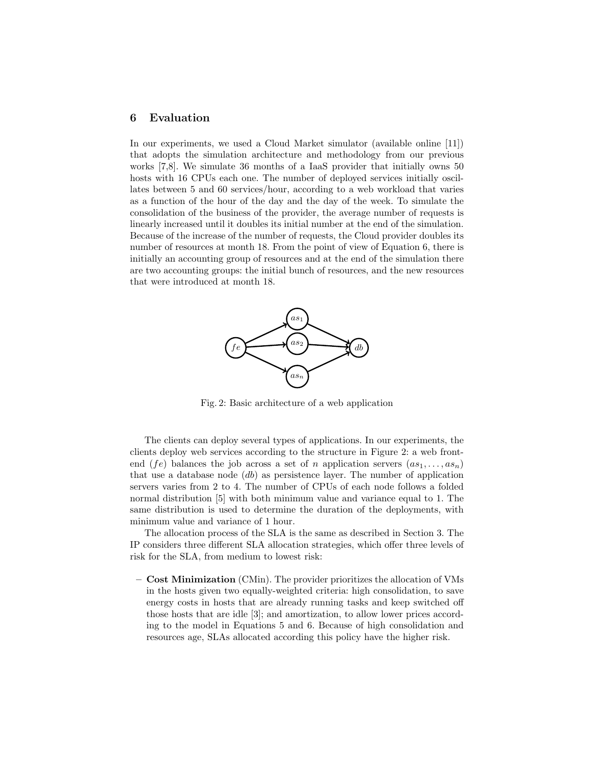# 6 Evaluation

In our experiments, we used a Cloud Market simulator (available online [11]) that adopts the simulation architecture and methodology from our previous works [7,8]. We simulate 36 months of a IaaS provider that initially owns 50 hosts with 16 CPUs each one. The number of deployed services initially oscillates between 5 and 60 services/hour, according to a web workload that varies as a function of the hour of the day and the day of the week. To simulate the consolidation of the business of the provider, the average number of requests is linearly increased until it doubles its initial number at the end of the simulation. Because of the increase of the number of requests, the Cloud provider doubles its number of resources at month 18. From the point of view of Equation 6, there is initially an accounting group of resources and at the end of the simulation there are two accounting groups: the initial bunch of resources, and the new resources that were introduced at month 18.



Fig. 2: Basic architecture of a web application

The clients can deploy several types of applications. In our experiments, the clients deploy web services according to the structure in Figure 2: a web frontend (fe) balances the job across a set of n application servers  $(as_1, \ldots, as_n)$ that use a database node  $(db)$  as persistence layer. The number of application servers varies from 2 to 4. The number of CPUs of each node follows a folded normal distribution [5] with both minimum value and variance equal to 1. The same distribution is used to determine the duration of the deployments, with minimum value and variance of 1 hour.

The allocation process of the SLA is the same as described in Section 3. The IP considers three different SLA allocation strategies, which offer three levels of risk for the SLA, from medium to lowest risk:

– Cost Minimization (CMin). The provider prioritizes the allocation of VMs in the hosts given two equally-weighted criteria: high consolidation, to save energy costs in hosts that are already running tasks and keep switched off those hosts that are idle [3]; and amortization, to allow lower prices according to the model in Equations 5 and 6. Because of high consolidation and resources age, SLAs allocated according this policy have the higher risk.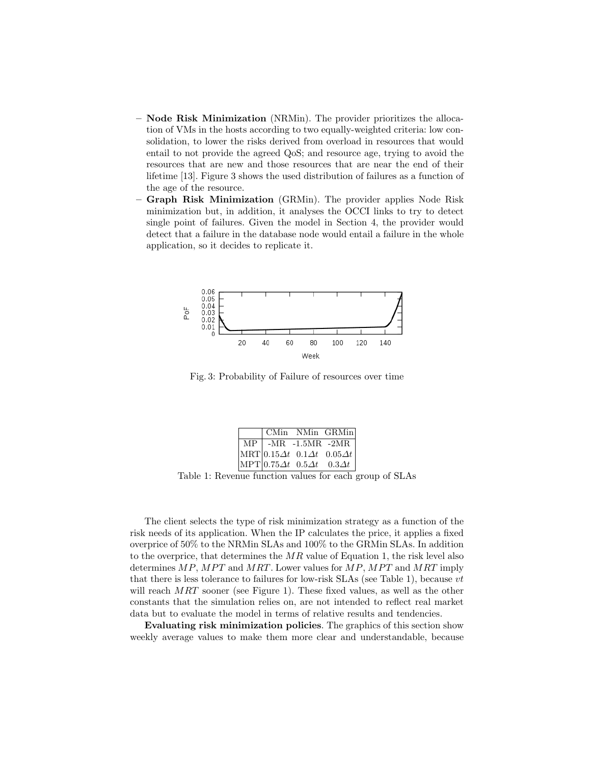- Node Risk Minimization (NRMin). The provider prioritizes the allocation of VMs in the hosts according to two equally-weighted criteria: low consolidation, to lower the risks derived from overload in resources that would entail to not provide the agreed QoS; and resource age, trying to avoid the resources that are new and those resources that are near the end of their lifetime [13]. Figure 3 shows the used distribution of failures as a function of the age of the resource.
- Graph Risk Minimization (GRMin). The provider applies Node Risk minimization but, in addition, it analyses the OCCI links to try to detect single point of failures. Given the model in Section 4, the provider would detect that a failure in the database node would entail a failure in the whole application, so it decides to replicate it.



Fig. 3: Probability of Failure of resources over time

|    |  | CMin NMin GRMin                                                                                                                                                                                 |
|----|--|-------------------------------------------------------------------------------------------------------------------------------------------------------------------------------------------------|
| MP |  | $-MR -1.5MR -2MR$                                                                                                                                                                               |
|    |  |                                                                                                                                                                                                 |
|    |  | $\begin{array}{ l } \hline \text{MRT} & 0.15 \varDelta t & 0.1 \varDelta t & 0.05 \varDelta t \\ \hline \text{MPT} & 0.75 \varDelta t & 0.5 \varDelta t & 0.3 \varDelta t \\\hline \end{array}$ |

Table 1: Revenue function values for each group of SLAs

The client selects the type of risk minimization strategy as a function of the risk needs of its application. When the IP calculates the price, it applies a fixed overprice of 50% to the NRMin SLAs and 100% to the GRMin SLAs. In addition to the overprice, that determines the  $MR$  value of Equation 1, the risk level also determines  $MP$ ,  $MPT$  and  $MRT$ . Lower values for  $MP$ ,  $MPT$  and  $MRT$  imply that there is less tolerance to failures for low-risk SLAs (see Table 1), because  $vt$ will reach MRT sooner (see Figure 1). These fixed values, as well as the other constants that the simulation relies on, are not intended to reflect real market data but to evaluate the model in terms of relative results and tendencies.

Evaluating risk minimization policies. The graphics of this section show weekly average values to make them more clear and understandable, because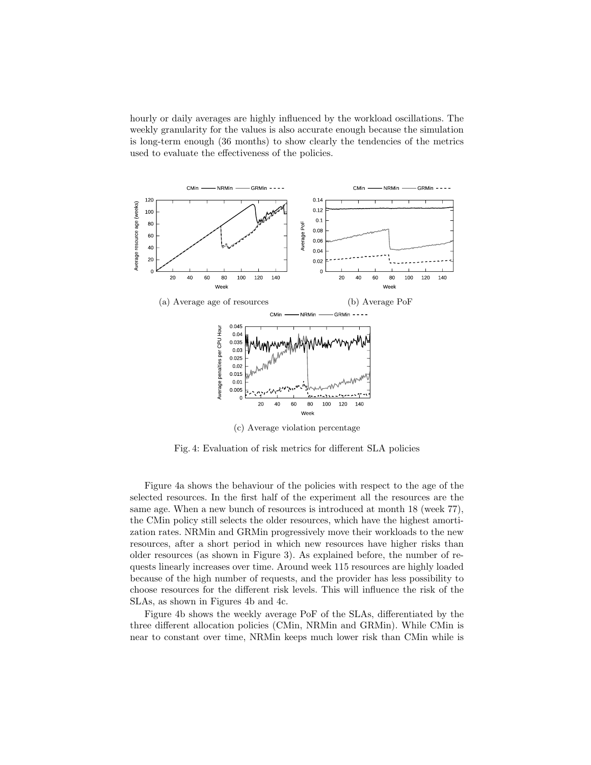hourly or daily averages are highly influenced by the workload oscillations. The weekly granularity for the values is also accurate enough because the simulation is long-term enough (36 months) to show clearly the tendencies of the metrics used to evaluate the effectiveness of the policies.



Fig. 4: Evaluation of risk metrics for different SLA policies

Figure 4a shows the behaviour of the policies with respect to the age of the selected resources. In the first half of the experiment all the resources are the same age. When a new bunch of resources is introduced at month 18 (week 77), the CMin policy still selects the older resources, which have the highest amortization rates. NRMin and GRMin progressively move their workloads to the new resources, after a short period in which new resources have higher risks than older resources (as shown in Figure 3). As explained before, the number of requests linearly increases over time. Around week 115 resources are highly loaded because of the high number of requests, and the provider has less possibility to choose resources for the different risk levels. This will influence the risk of the SLAs, as shown in Figures 4b and 4c.

Figure 4b shows the weekly average PoF of the SLAs, differentiated by the three different allocation policies (CMin, NRMin and GRMin). While CMin is near to constant over time, NRMin keeps much lower risk than CMin while is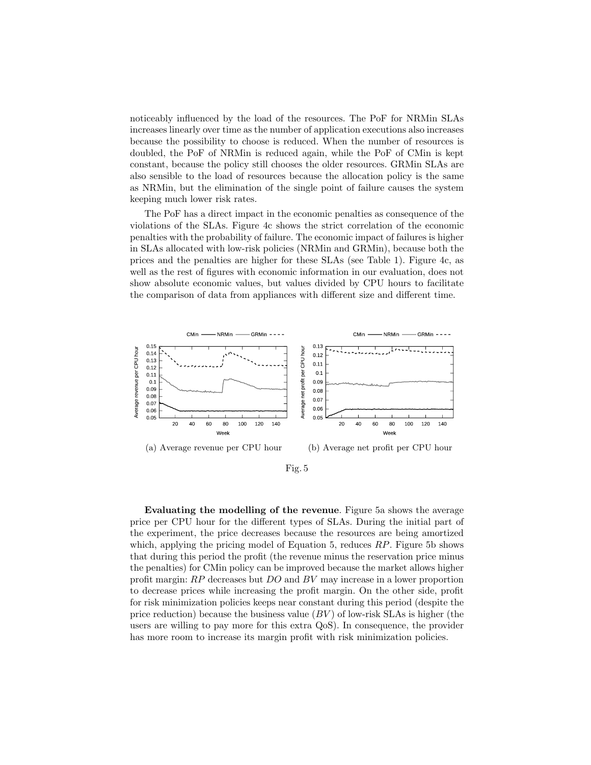noticeably influenced by the load of the resources. The PoF for NRMin SLAs increases linearly over time as the number of application executions also increases because the possibility to choose is reduced. When the number of resources is doubled, the PoF of NRMin is reduced again, while the PoF of CMin is kept constant, because the policy still chooses the older resources. GRMin SLAs are also sensible to the load of resources because the allocation policy is the same as NRMin, but the elimination of the single point of failure causes the system keeping much lower risk rates.

The PoF has a direct impact in the economic penalties as consequence of the violations of the SLAs. Figure 4c shows the strict correlation of the economic penalties with the probability of failure. The economic impact of failures is higher in SLAs allocated with low-risk policies (NRMin and GRMin), because both the prices and the penalties are higher for these SLAs (see Table 1). Figure 4c, as well as the rest of figures with economic information in our evaluation, does not show absolute economic values, but values divided by CPU hours to facilitate the comparison of data from appliances with different size and different time.



Fig. 5

Evaluating the modelling of the revenue. Figure 5a shows the average price per CPU hour for the different types of SLAs. During the initial part of the experiment, the price decreases because the resources are being amortized which, applying the pricing model of Equation 5, reduces  $RP$ . Figure 5b shows that during this period the profit (the revenue minus the reservation price minus the penalties) for CMin policy can be improved because the market allows higher profit margin: RP decreases but DO and BV may increase in a lower proportion to decrease prices while increasing the profit margin. On the other side, profit for risk minimization policies keeps near constant during this period (despite the price reduction) because the business value  $(BV)$  of low-risk SLAs is higher (the users are willing to pay more for this extra QoS). In consequence, the provider has more room to increase its margin profit with risk minimization policies.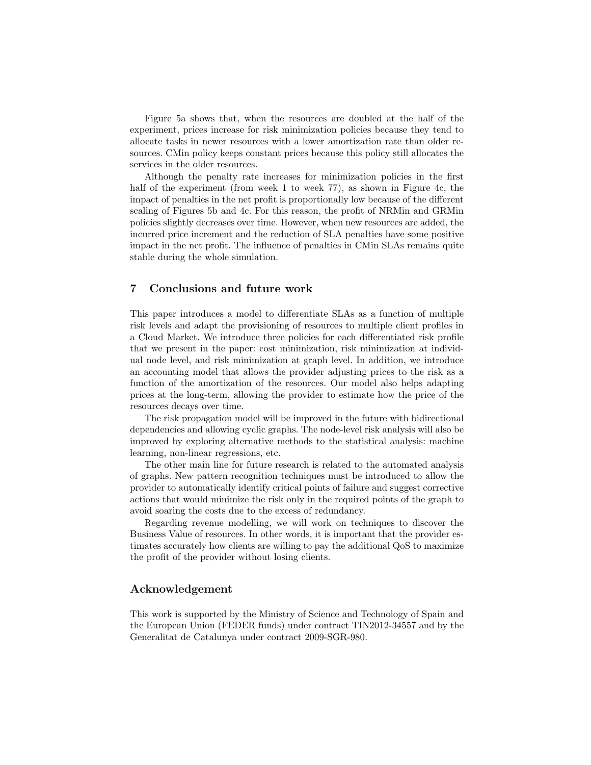Figure 5a shows that, when the resources are doubled at the half of the experiment, prices increase for risk minimization policies because they tend to allocate tasks in newer resources with a lower amortization rate than older resources. CMin policy keeps constant prices because this policy still allocates the services in the older resources.

Although the penalty rate increases for minimization policies in the first half of the experiment (from week 1 to week 77), as shown in Figure 4c, the impact of penalties in the net profit is proportionally low because of the different scaling of Figures 5b and 4c. For this reason, the profit of NRMin and GRMin policies slightly decreases over time. However, when new resources are added, the incurred price increment and the reduction of SLA penalties have some positive impact in the net profit. The influence of penalties in CMin SLAs remains quite stable during the whole simulation.

# 7 Conclusions and future work

This paper introduces a model to differentiate SLAs as a function of multiple risk levels and adapt the provisioning of resources to multiple client profiles in a Cloud Market. We introduce three policies for each differentiated risk profile that we present in the paper: cost minimization, risk minimization at individual node level, and risk minimization at graph level. In addition, we introduce an accounting model that allows the provider adjusting prices to the risk as a function of the amortization of the resources. Our model also helps adapting prices at the long-term, allowing the provider to estimate how the price of the resources decays over time.

The risk propagation model will be improved in the future with bidirectional dependencies and allowing cyclic graphs. The node-level risk analysis will also be improved by exploring alternative methods to the statistical analysis: machine learning, non-linear regressions, etc.

The other main line for future research is related to the automated analysis of graphs. New pattern recognition techniques must be introduced to allow the provider to automatically identify critical points of failure and suggest corrective actions that would minimize the risk only in the required points of the graph to avoid soaring the costs due to the excess of redundancy.

Regarding revenue modelling, we will work on techniques to discover the Business Value of resources. In other words, it is important that the provider estimates accurately how clients are willing to pay the additional QoS to maximize the profit of the provider without losing clients.

### Acknowledgement

This work is supported by the Ministry of Science and Technology of Spain and the European Union (FEDER funds) under contract TIN2012-34557 and by the Generalitat de Catalunya under contract 2009-SGR-980.